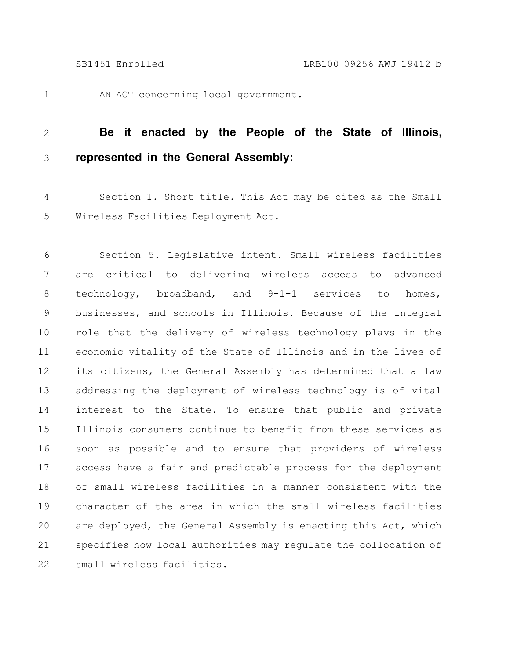1

AN ACT concerning local government.

## **Be it enacted by the People of the State of Illinois, represented in the General Assembly:** 2 3

Section 1. Short title. This Act may be cited as the Small Wireless Facilities Deployment Act. 4 5

Section 5. Legislative intent. Small wireless facilities are critical to delivering wireless access to advanced technology, broadband, and 9-1-1 services to homes, businesses, and schools in Illinois. Because of the integral role that the delivery of wireless technology plays in the economic vitality of the State of Illinois and in the lives of its citizens, the General Assembly has determined that a law addressing the deployment of wireless technology is of vital interest to the State. To ensure that public and private Illinois consumers continue to benefit from these services as soon as possible and to ensure that providers of wireless access have a fair and predictable process for the deployment of small wireless facilities in a manner consistent with the character of the area in which the small wireless facilities are deployed, the General Assembly is enacting this Act, which specifies how local authorities may regulate the collocation of small wireless facilities. 6 7 8 9 10 11 12 13 14 15 16 17 18 19 20 21 22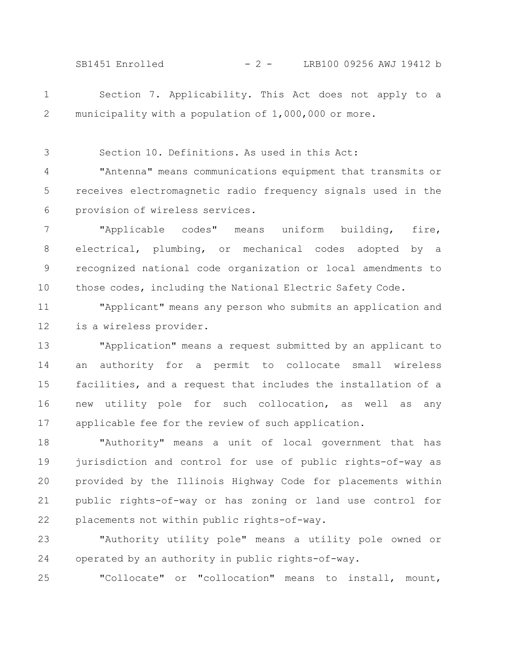SB1451 Enrolled - 2 - LRB100 09256 AWJ 19412 b

Section 7. Applicability. This Act does not apply to a municipality with a population of 1,000,000 or more. 1 2

Section 10. Definitions. As used in this Act: 3

"Antenna" means communications equipment that transmits or receives electromagnetic radio frequency signals used in the provision of wireless services. 4 5 6

"Applicable codes" means uniform building, fire, electrical, plumbing, or mechanical codes adopted by a recognized national code organization or local amendments to those codes, including the National Electric Safety Code. 7 8 9 10

"Applicant" means any person who submits an application and is a wireless provider. 11 12

"Application" means a request submitted by an applicant to an authority for a permit to collocate small wireless facilities, and a request that includes the installation of a new utility pole for such collocation, as well as any applicable fee for the review of such application. 13 14 15 16 17

"Authority" means a unit of local government that has jurisdiction and control for use of public rights-of-way as provided by the Illinois Highway Code for placements within public rights-of-way or has zoning or land use control for placements not within public rights-of-way. 18 19 20 21 22

"Authority utility pole" means a utility pole owned or operated by an authority in public rights-of-way. 23 24

"Collocate" or "collocation" means to install, mount, 25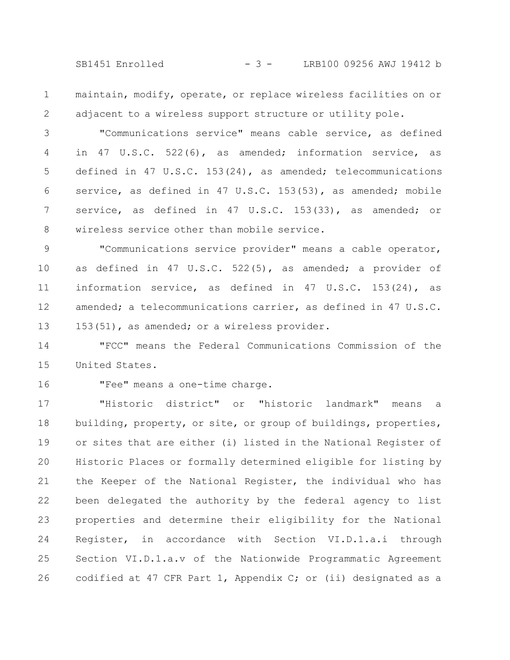SB1451 Enrolled - 3 - LRB100 09256 AWJ 19412 b

maintain, modify, operate, or replace wireless facilities on or adjacent to a wireless support structure or utility pole. 1 2

"Communications service" means cable service, as defined in 47 U.S.C. 522(6), as amended; information service, as defined in 47 U.S.C. 153(24), as amended; telecommunications service, as defined in 47 U.S.C. 153(53), as amended; mobile service, as defined in 47 U.S.C. 153(33), as amended; or wireless service other than mobile service. 3 4 5 6 7 8

"Communications service provider" means a cable operator, as defined in 47 U.S.C. 522(5), as amended; a provider of information service, as defined in 47 U.S.C. 153(24), as amended; a telecommunications carrier, as defined in 47 U.S.C. 153(51), as amended; or a wireless provider. 9 10 11 12 13

"FCC" means the Federal Communications Commission of the United States. 14 15

16

"Fee" means a one-time charge.

"Historic district" or "historic landmark" means a building, property, or site, or group of buildings, properties, or sites that are either (i) listed in the National Register of Historic Places or formally determined eligible for listing by the Keeper of the National Register, the individual who has been delegated the authority by the federal agency to list properties and determine their eligibility for the National Register, in accordance with Section VI.D.1.a.i through Section VI.D.1.a.v of the Nationwide Programmatic Agreement codified at 47 CFR Part 1, Appendix C; or (ii) designated as a 17 18 19 20 21 22 23 24 25 26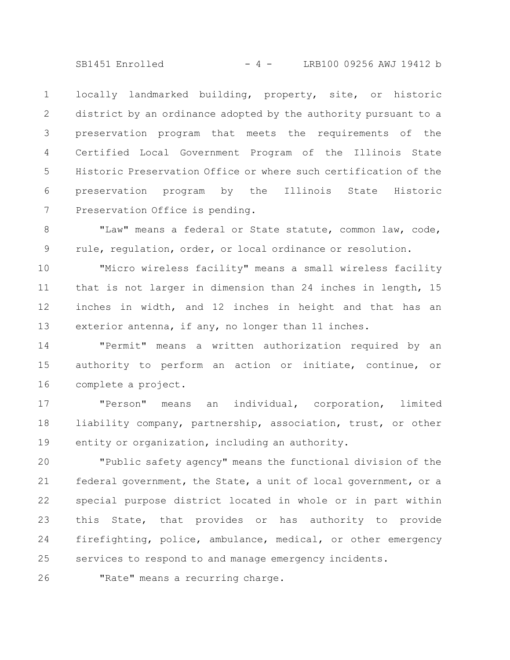SB1451 Enrolled - 4 - LRB100 09256 AWJ 19412 b

locally landmarked building, property, site, or historic district by an ordinance adopted by the authority pursuant to a preservation program that meets the requirements of the Certified Local Government Program of the Illinois State Historic Preservation Office or where such certification of the preservation program by the Illinois State Historic Preservation Office is pending. 1 2 3 4 5 6 7

"Law" means a federal or State statute, common law, code, rule, regulation, order, or local ordinance or resolution. 8 9

"Micro wireless facility" means a small wireless facility that is not larger in dimension than 24 inches in length, 15 inches in width, and 12 inches in height and that has an exterior antenna, if any, no longer than 11 inches. 10 11 12 13

"Permit" means a written authorization required by an authority to perform an action or initiate, continue, or complete a project. 14 15 16

"Person" means an individual, corporation, limited liability company, partnership, association, trust, or other entity or organization, including an authority. 17 18 19

"Public safety agency" means the functional division of the federal government, the State, a unit of local government, or a special purpose district located in whole or in part within this State, that provides or has authority to provide firefighting, police, ambulance, medical, or other emergency services to respond to and manage emergency incidents. 20 21 22 23 24 25

26

"Rate" means a recurring charge.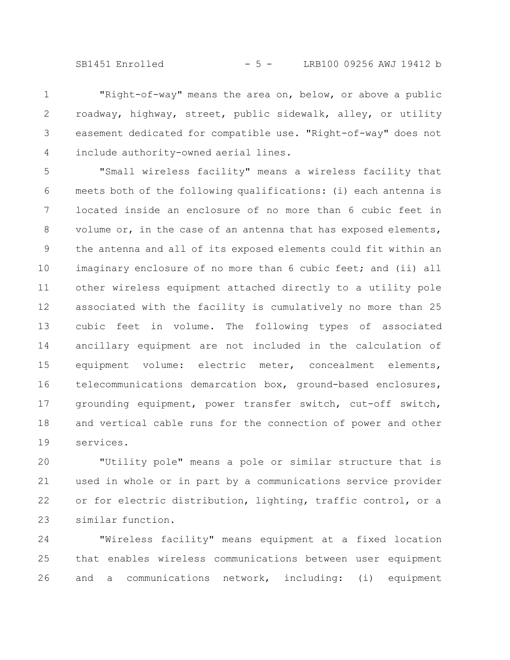SB1451 Enrolled - 5 - LRB100 09256 AWJ 19412 b

"Right-of-way" means the area on, below, or above a public roadway, highway, street, public sidewalk, alley, or utility easement dedicated for compatible use. "Right-of-way" does not include authority-owned aerial lines. 1 2 3 4

"Small wireless facility" means a wireless facility that meets both of the following qualifications: (i) each antenna is located inside an enclosure of no more than 6 cubic feet in volume or, in the case of an antenna that has exposed elements, the antenna and all of its exposed elements could fit within an imaginary enclosure of no more than 6 cubic feet; and (ii) all other wireless equipment attached directly to a utility pole associated with the facility is cumulatively no more than 25 cubic feet in volume. The following types of associated ancillary equipment are not included in the calculation of equipment volume: electric meter, concealment elements, telecommunications demarcation box, ground-based enclosures, grounding equipment, power transfer switch, cut-off switch, and vertical cable runs for the connection of power and other services. 5 6 7 8 9 10 11 12 13 14 15 16 17 18 19

"Utility pole" means a pole or similar structure that is used in whole or in part by a communications service provider or for electric distribution, lighting, traffic control, or a similar function. 20 21 22 23

"Wireless facility" means equipment at a fixed location that enables wireless communications between user equipment and a communications network, including: (i) equipment 24 25 26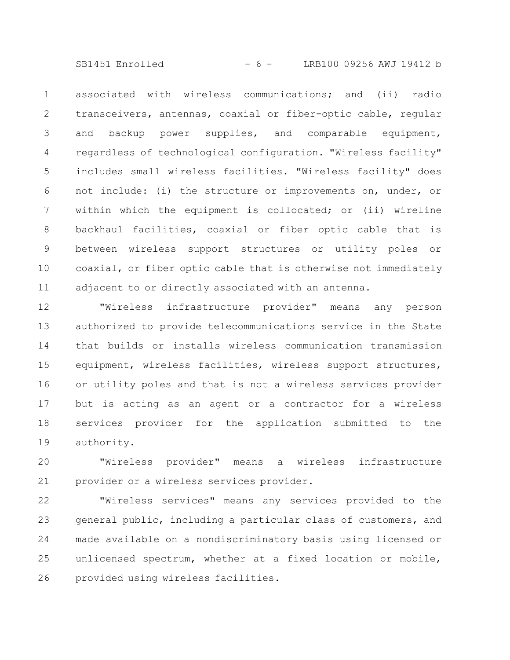SB1451 Enrolled - 6 - LRB100 09256 AWJ 19412 b

associated with wireless communications; and (ii) radio transceivers, antennas, coaxial or fiber-optic cable, regular and backup power supplies, and comparable equipment, regardless of technological configuration. "Wireless facility" includes small wireless facilities. "Wireless facility" does not include: (i) the structure or improvements on, under, or within which the equipment is collocated; or (ii) wireline backhaul facilities, coaxial or fiber optic cable that is between wireless support structures or utility poles or coaxial, or fiber optic cable that is otherwise not immediately adjacent to or directly associated with an antenna. 1 2 3 4 5 6 7 8 9 10 11

"Wireless infrastructure provider" means any person authorized to provide telecommunications service in the State that builds or installs wireless communication transmission equipment, wireless facilities, wireless support structures, or utility poles and that is not a wireless services provider but is acting as an agent or a contractor for a wireless services provider for the application submitted to the authority. 12 13 14 15 16 17 18 19

"Wireless provider" means a wireless infrastructure provider or a wireless services provider. 20 21

"Wireless services" means any services provided to the general public, including a particular class of customers, and made available on a nondiscriminatory basis using licensed or unlicensed spectrum, whether at a fixed location or mobile, provided using wireless facilities. 22 23 24 25 26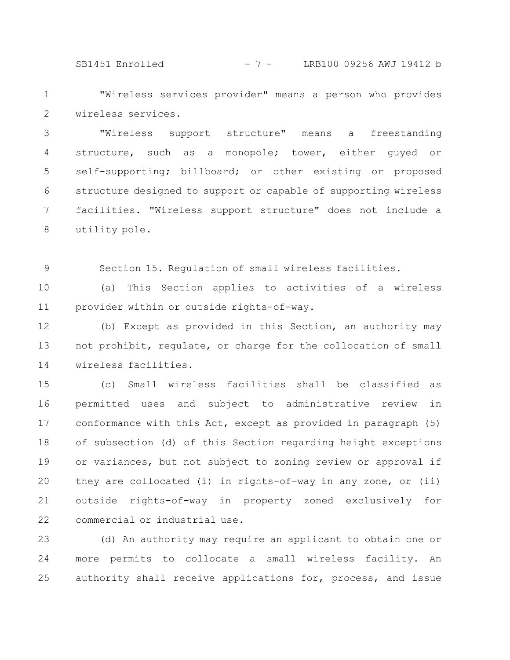SB1451 Enrolled - 7 - LRB100 09256 AWJ 19412 b

"Wireless services provider" means a person who provides wireless services. 1 2

"Wireless support structure" means a freestanding structure, such as a monopole; tower, either guyed or self-supporting; billboard; or other existing or proposed structure designed to support or capable of supporting wireless facilities. "Wireless support structure" does not include a utility pole. 3 4 5 6 7 8

Section 15. Regulation of small wireless facilities. 9

(a) This Section applies to activities of a wireless provider within or outside rights-of-way. 10 11

(b) Except as provided in this Section, an authority may not prohibit, regulate, or charge for the collocation of small wireless facilities. 12 13 14

(c) Small wireless facilities shall be classified as permitted uses and subject to administrative review in conformance with this Act, except as provided in paragraph (5) of subsection (d) of this Section regarding height exceptions or variances, but not subject to zoning review or approval if they are collocated (i) in rights-of-way in any zone, or (ii) outside rights-of-way in property zoned exclusively for commercial or industrial use. 15 16 17 18 19 20 21 22

(d) An authority may require an applicant to obtain one or more permits to collocate a small wireless facility. An authority shall receive applications for, process, and issue 23 24 25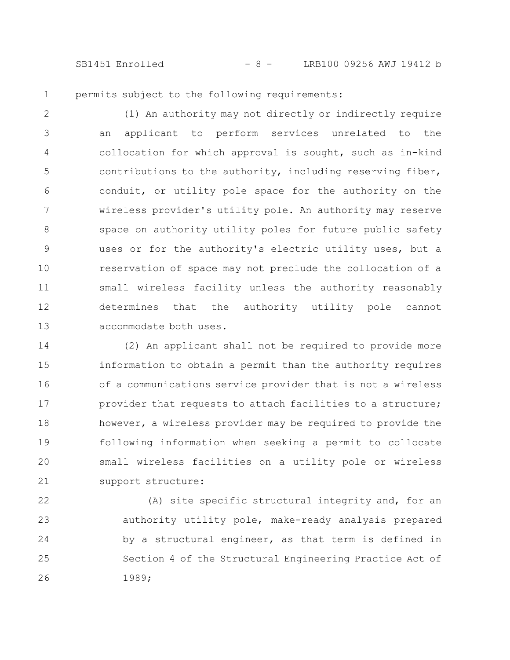SB1451 Enrolled - 8 - LRB100 09256 AWJ 19412 b

permits subject to the following requirements: 1

(1) An authority may not directly or indirectly require an applicant to perform services unrelated to the collocation for which approval is sought, such as in-kind contributions to the authority, including reserving fiber, conduit, or utility pole space for the authority on the wireless provider's utility pole. An authority may reserve space on authority utility poles for future public safety uses or for the authority's electric utility uses, but a reservation of space may not preclude the collocation of a small wireless facility unless the authority reasonably determines that the authority utility pole cannot accommodate both uses. 2 3 4 5 6 7 8 9 10 11 12 13

(2) An applicant shall not be required to provide more information to obtain a permit than the authority requires of a communications service provider that is not a wireless provider that requests to attach facilities to a structure; however, a wireless provider may be required to provide the following information when seeking a permit to collocate small wireless facilities on a utility pole or wireless support structure: 14 15 16 17 18 19 20 21

(A) site specific structural integrity and, for an authority utility pole, make-ready analysis prepared by a structural engineer, as that term is defined in Section 4 of the Structural Engineering Practice Act of 1989; 22 23 24 25 26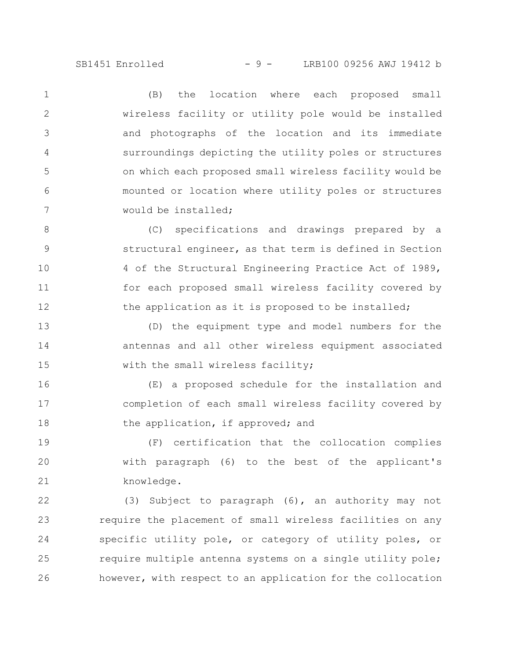SB1451 Enrolled - 9 - LRB100 09256 AWJ 19412 b

(B) the location where each proposed small wireless facility or utility pole would be installed and photographs of the location and its immediate surroundings depicting the utility poles or structures on which each proposed small wireless facility would be mounted or location where utility poles or structures would be installed; 1 2 3 4 5 6 7

(C) specifications and drawings prepared by a structural engineer, as that term is defined in Section 4 of the Structural Engineering Practice Act of 1989, for each proposed small wireless facility covered by the application as it is proposed to be installed; 8 9 10 11 12

(D) the equipment type and model numbers for the antennas and all other wireless equipment associated with the small wireless facility; 13 14 15

(E) a proposed schedule for the installation and completion of each small wireless facility covered by the application, if approved; and 16 17 18

(F) certification that the collocation complies with paragraph (6) to the best of the applicant's knowledge. 19 20 21

(3) Subject to paragraph (6), an authority may not require the placement of small wireless facilities on any specific utility pole, or category of utility poles, or require multiple antenna systems on a single utility pole; however, with respect to an application for the collocation 22 23 24 25 26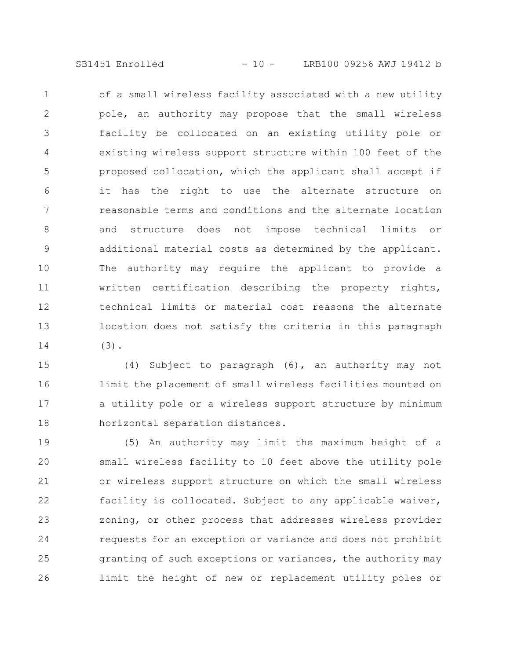SB1451 Enrolled - 10 - LRB100 09256 AWJ 19412 b

of a small wireless facility associated with a new utility pole, an authority may propose that the small wireless facility be collocated on an existing utility pole or existing wireless support structure within 100 feet of the proposed collocation, which the applicant shall accept if it has the right to use the alternate structure on reasonable terms and conditions and the alternate location and structure does not impose technical limits or additional material costs as determined by the applicant. The authority may require the applicant to provide a written certification describing the property rights, technical limits or material cost reasons the alternate location does not satisfy the criteria in this paragraph (3). 1 2 3 4 5 6 7 8 9 10 11 12 13 14

(4) Subject to paragraph (6), an authority may not limit the placement of small wireless facilities mounted on a utility pole or a wireless support structure by minimum horizontal separation distances. 15 16 17 18

(5) An authority may limit the maximum height of a small wireless facility to 10 feet above the utility pole or wireless support structure on which the small wireless facility is collocated. Subject to any applicable waiver, zoning, or other process that addresses wireless provider requests for an exception or variance and does not prohibit granting of such exceptions or variances, the authority may limit the height of new or replacement utility poles or 19 20 21 22 23 24 25 26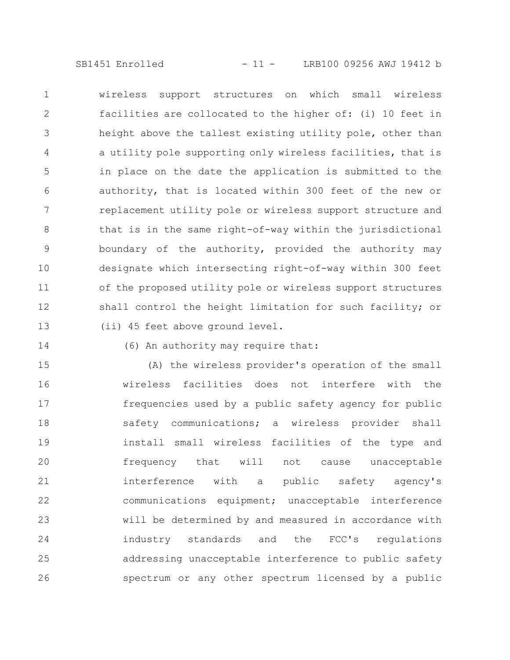SB1451 Enrolled - 11 - LRB100 09256 AWJ 19412 b

wireless support structures on which small wireless facilities are collocated to the higher of: (i) 10 feet in height above the tallest existing utility pole, other than a utility pole supporting only wireless facilities, that is in place on the date the application is submitted to the authority, that is located within 300 feet of the new or replacement utility pole or wireless support structure and that is in the same right-of-way within the jurisdictional boundary of the authority, provided the authority may designate which intersecting right-of-way within 300 feet of the proposed utility pole or wireless support structures shall control the height limitation for such facility; or (ii) 45 feet above ground level. 1 2 3 4 5 6 7 8 9 10 11 12 13

14

## (6) An authority may require that:

(A) the wireless provider's operation of the small wireless facilities does not interfere with the frequencies used by a public safety agency for public safety communications; a wireless provider shall install small wireless facilities of the type and frequency that will not cause unacceptable interference with a public safety agency's communications equipment; unacceptable interference will be determined by and measured in accordance with industry standards and the FCC's regulations addressing unacceptable interference to public safety spectrum or any other spectrum licensed by a public 15 16 17 18 19 20 21 22 23 24 25 26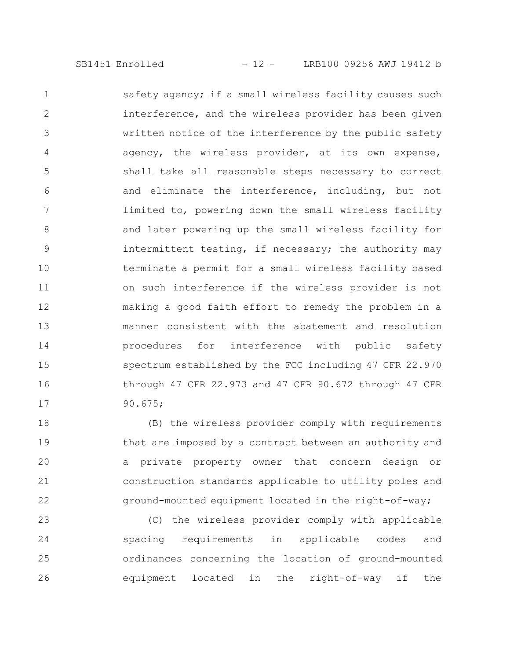safety agency; if a small wireless facility causes such interference, and the wireless provider has been given written notice of the interference by the public safety agency, the wireless provider, at its own expense, shall take all reasonable steps necessary to correct and eliminate the interference, including, but not limited to, powering down the small wireless facility and later powering up the small wireless facility for intermittent testing, if necessary; the authority may terminate a permit for a small wireless facility based on such interference if the wireless provider is not making a good faith effort to remedy the problem in a manner consistent with the abatement and resolution procedures for interference with public safety spectrum established by the FCC including 47 CFR 22.970 through 47 CFR 22.973 and 47 CFR 90.672 through 47 CFR 90.675; 1 2 3 4 5 6 7 8 9 10 11 12 13 14 15 16 17

(B) the wireless provider comply with requirements that are imposed by a contract between an authority and a private property owner that concern design or construction standards applicable to utility poles and ground-mounted equipment located in the right-of-way; 18 19 20 21 22

(C) the wireless provider comply with applicable spacing requirements in applicable codes and ordinances concerning the location of ground-mounted equipment located in the right-of-way if the 23 24 25 26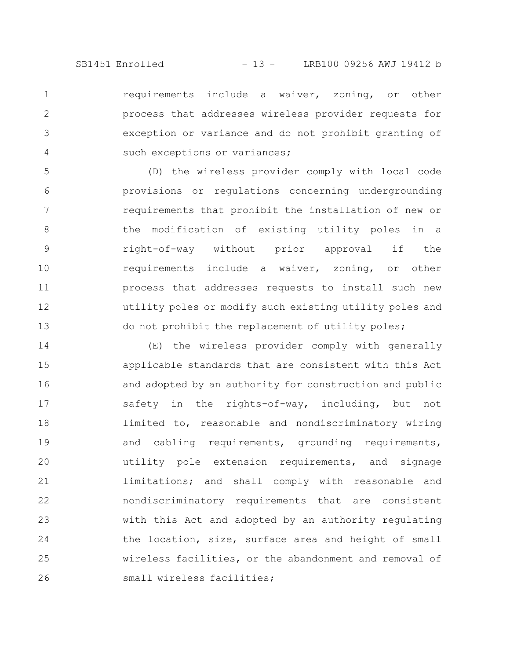requirements include a waiver, zoning, or other process that addresses wireless provider requests for exception or variance and do not prohibit granting of such exceptions or variances; 1 2 3 4

(D) the wireless provider comply with local code provisions or regulations concerning undergrounding requirements that prohibit the installation of new or the modification of existing utility poles in a right-of-way without prior approval if the requirements include a waiver, zoning, or other process that addresses requests to install such new utility poles or modify such existing utility poles and do not prohibit the replacement of utility poles; 5 6 7 8 9 10 11 12 13

(E) the wireless provider comply with generally applicable standards that are consistent with this Act and adopted by an authority for construction and public safety in the rights-of-way, including, but not limited to, reasonable and nondiscriminatory wiring and cabling requirements, grounding requirements, utility pole extension requirements, and signage limitations; and shall comply with reasonable and nondiscriminatory requirements that are consistent with this Act and adopted by an authority regulating the location, size, surface area and height of small wireless facilities, or the abandonment and removal of small wireless facilities; 14 15 16 17 18 19 20 21 22 23 24 25 26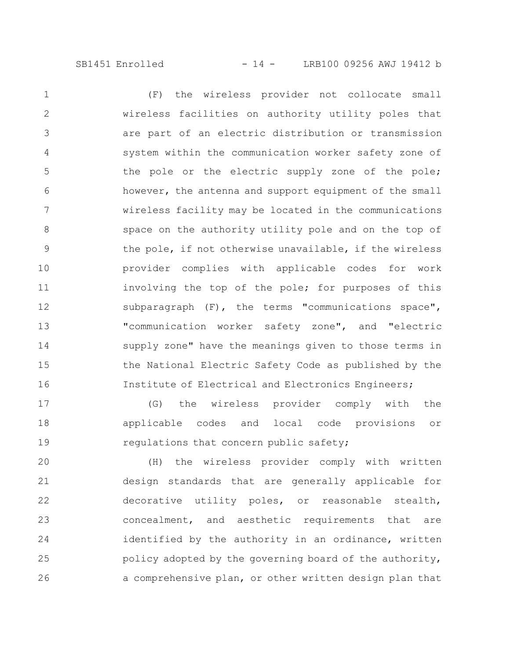(F) the wireless provider not collocate small wireless facilities on authority utility poles that are part of an electric distribution or transmission system within the communication worker safety zone of the pole or the electric supply zone of the pole; however, the antenna and support equipment of the small wireless facility may be located in the communications space on the authority utility pole and on the top of the pole, if not otherwise unavailable, if the wireless provider complies with applicable codes for work involving the top of the pole; for purposes of this subparagraph (F), the terms "communications space", "communication worker safety zone", and "electric supply zone" have the meanings given to those terms in the National Electric Safety Code as published by the Institute of Electrical and Electronics Engineers; 1 2 3 4 5 6 7 8 9 10 11 12 13 14 15 16

(G) the wireless provider comply with the applicable codes and local code provisions or regulations that concern public safety; 17 18 19

(H) the wireless provider comply with written design standards that are generally applicable for decorative utility poles, or reasonable stealth, concealment, and aesthetic requirements that are identified by the authority in an ordinance, written policy adopted by the governing board of the authority, a comprehensive plan, or other written design plan that 20 21 22 23 24 25 26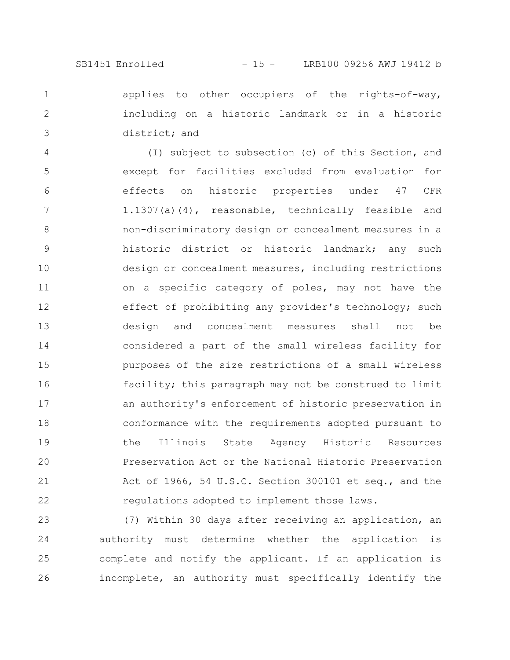applies to other occupiers of the rights-of-way, including on a historic landmark or in a historic district; and 1 2 3

(I) subject to subsection (c) of this Section, and except for facilities excluded from evaluation for effects on historic properties under 47 CFR 1.1307(a)(4), reasonable, technically feasible and non-discriminatory design or concealment measures in a historic district or historic landmark; any such design or concealment measures, including restrictions on a specific category of poles, may not have the effect of prohibiting any provider's technology; such design and concealment measures shall not be considered a part of the small wireless facility for purposes of the size restrictions of a small wireless facility; this paragraph may not be construed to limit an authority's enforcement of historic preservation in conformance with the requirements adopted pursuant to the Illinois State Agency Historic Resources Preservation Act or the National Historic Preservation Act of 1966, 54 U.S.C. Section 300101 et seq., and the regulations adopted to implement those laws. 4 5 6 7 8 9 10 11 12 13 14 15 16 17 18 19 20 21 22

(7) Within 30 days after receiving an application, an authority must determine whether the application is complete and notify the applicant. If an application is incomplete, an authority must specifically identify the 23 24 25 26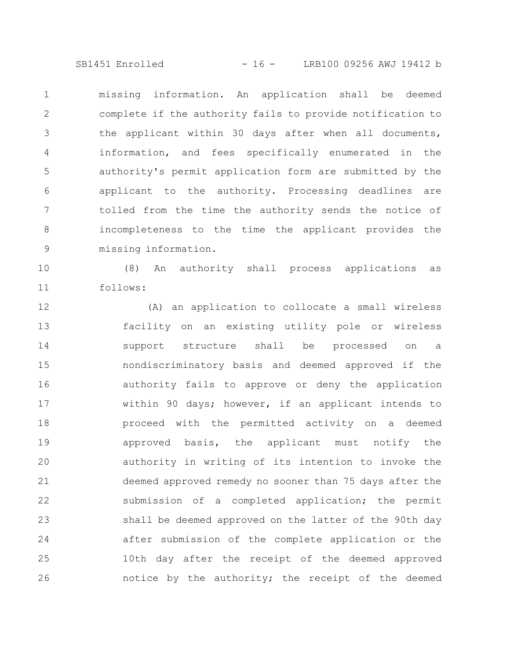SB1451 Enrolled - 16 - LRB100 09256 AWJ 19412 b

missing information. An application shall be deemed complete if the authority fails to provide notification to the applicant within 30 days after when all documents, information, and fees specifically enumerated in the authority's permit application form are submitted by the applicant to the authority. Processing deadlines are tolled from the time the authority sends the notice of incompleteness to the time the applicant provides the missing information. 1 2 3 4 5 6 7 8 9

(8) An authority shall process applications as follows: 10 11

(A) an application to collocate a small wireless facility on an existing utility pole or wireless support structure shall be processed on a nondiscriminatory basis and deemed approved if the authority fails to approve or deny the application within 90 days; however, if an applicant intends to proceed with the permitted activity on a deemed approved basis, the applicant must notify the authority in writing of its intention to invoke the deemed approved remedy no sooner than 75 days after the submission of a completed application; the permit shall be deemed approved on the latter of the 90th day after submission of the complete application or the 10th day after the receipt of the deemed approved notice by the authority; the receipt of the deemed 12 13 14 15 16 17 18 19 20 21 22 23 24 25 26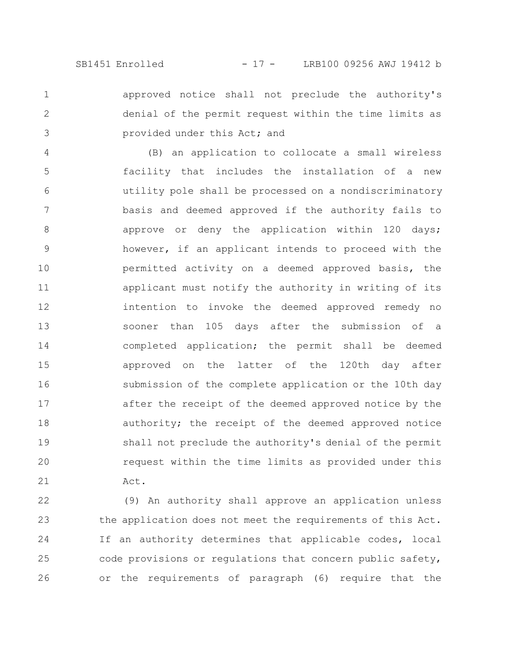2

3

approved notice shall not preclude the authority's denial of the permit request within the time limits as provided under this Act; and 1

(B) an application to collocate a small wireless facility that includes the installation of a new utility pole shall be processed on a nondiscriminatory basis and deemed approved if the authority fails to approve or deny the application within 120 days; however, if an applicant intends to proceed with the permitted activity on a deemed approved basis, the applicant must notify the authority in writing of its intention to invoke the deemed approved remedy no sooner than 105 days after the submission of a completed application; the permit shall be deemed approved on the latter of the 120th day after submission of the complete application or the 10th day after the receipt of the deemed approved notice by the authority; the receipt of the deemed approved notice shall not preclude the authority's denial of the permit request within the time limits as provided under this Act. 4 5 6 7 8 9 10 11 12 13 14 15 16 17 18 19 20 21

(9) An authority shall approve an application unless the application does not meet the requirements of this Act. If an authority determines that applicable codes, local code provisions or regulations that concern public safety, or the requirements of paragraph (6) require that the 22 23 24 25 26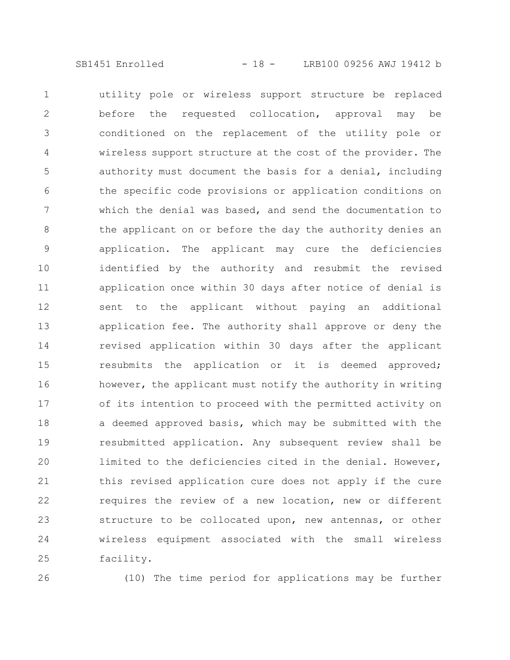utility pole or wireless support structure be replaced before the requested collocation, approval may be conditioned on the replacement of the utility pole or wireless support structure at the cost of the provider. The authority must document the basis for a denial, including the specific code provisions or application conditions on which the denial was based, and send the documentation to the applicant on or before the day the authority denies an application. The applicant may cure the deficiencies identified by the authority and resubmit the revised application once within 30 days after notice of denial is sent to the applicant without paying an additional application fee. The authority shall approve or deny the revised application within 30 days after the applicant resubmits the application or it is deemed approved; however, the applicant must notify the authority in writing of its intention to proceed with the permitted activity on a deemed approved basis, which may be submitted with the resubmitted application. Any subsequent review shall be limited to the deficiencies cited in the denial. However, this revised application cure does not apply if the cure requires the review of a new location, new or different structure to be collocated upon, new antennas, or other wireless equipment associated with the small wireless facility. 1 2 3 4 5 6 7 8 9 10 11 12 13 14 15 16 17 18 19 20 21 22 23 24 25

26

(10) The time period for applications may be further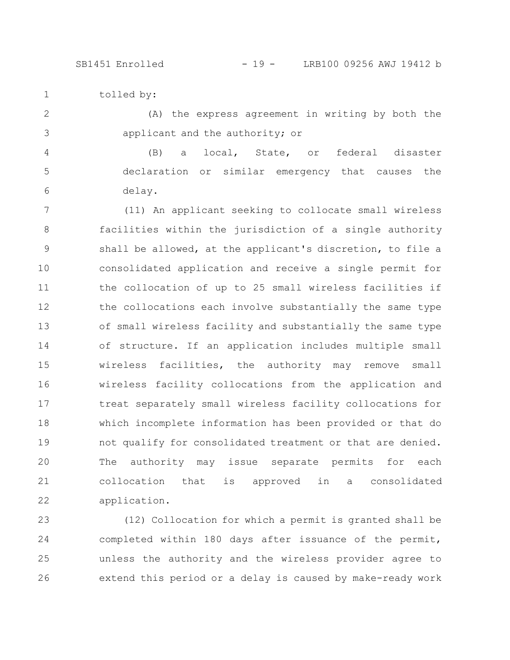SB1451 Enrolled - 19 - LRB100 09256 AWJ 19412 b

tolled by: 1

(A) the express agreement in writing by both the applicant and the authority; or 2 3

(B) a local, State, or federal disaster declaration or similar emergency that causes the delay. 4 5 6

(11) An applicant seeking to collocate small wireless facilities within the jurisdiction of a single authority shall be allowed, at the applicant's discretion, to file a consolidated application and receive a single permit for the collocation of up to 25 small wireless facilities if the collocations each involve substantially the same type of small wireless facility and substantially the same type of structure. If an application includes multiple small wireless facilities, the authority may remove small wireless facility collocations from the application and treat separately small wireless facility collocations for which incomplete information has been provided or that do not qualify for consolidated treatment or that are denied. The authority may issue separate permits for each collocation that is approved in a consolidated application. 7 8 9 10 11 12 13 14 15 16 17 18 19 20 21 22

(12) Collocation for which a permit is granted shall be completed within 180 days after issuance of the permit, unless the authority and the wireless provider agree to extend this period or a delay is caused by make-ready work 23 24 25 26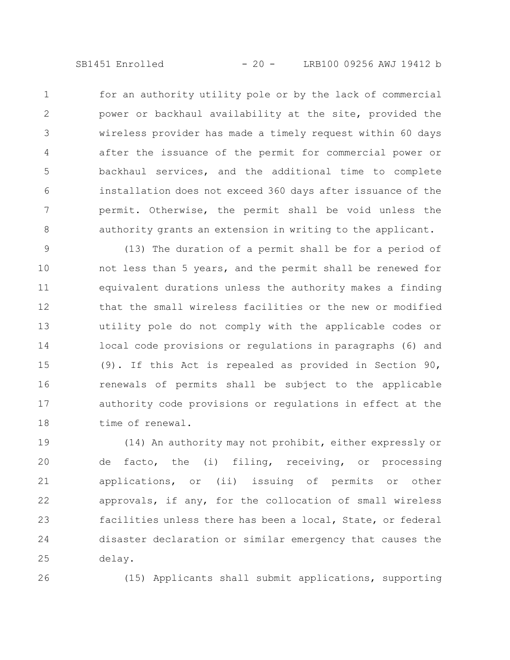for an authority utility pole or by the lack of commercial power or backhaul availability at the site, provided the wireless provider has made a timely request within 60 days after the issuance of the permit for commercial power or backhaul services, and the additional time to complete installation does not exceed 360 days after issuance of the permit. Otherwise, the permit shall be void unless the authority grants an extension in writing to the applicant. 1 2 3 4 5 6 7 8

(13) The duration of a permit shall be for a period of not less than 5 years, and the permit shall be renewed for equivalent durations unless the authority makes a finding that the small wireless facilities or the new or modified utility pole do not comply with the applicable codes or local code provisions or regulations in paragraphs (6) and (9). If this Act is repealed as provided in Section 90, renewals of permits shall be subject to the applicable authority code provisions or regulations in effect at the time of renewal. 9 10 11 12 13 14 15 16 17 18

(14) An authority may not prohibit, either expressly or de facto, the (i) filing, receiving, or processing applications, or (ii) issuing of permits or other approvals, if any, for the collocation of small wireless facilities unless there has been a local, State, or federal disaster declaration or similar emergency that causes the delay. 19 20 21 22 23 24 25

26

(15) Applicants shall submit applications, supporting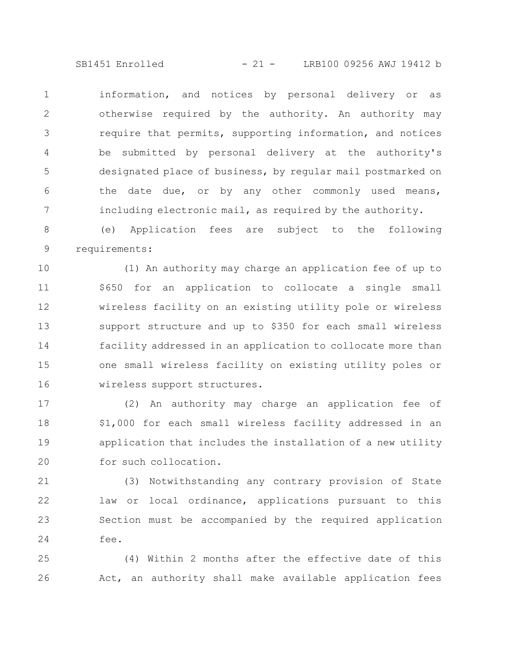SB1451 Enrolled - 21 - LRB100 09256 AWJ 19412 b

information, and notices by personal delivery or as otherwise required by the authority. An authority may require that permits, supporting information, and notices be submitted by personal delivery at the authority's designated place of business, by regular mail postmarked on the date due, or by any other commonly used means, including electronic mail, as required by the authority. 1 2 3 4 5 6 7

(e) Application fees are subject to the following requirements: 8 9

(1) An authority may charge an application fee of up to \$650 for an application to collocate a single small wireless facility on an existing utility pole or wireless support structure and up to \$350 for each small wireless facility addressed in an application to collocate more than one small wireless facility on existing utility poles or wireless support structures. 10 11 12 13 14 15 16

(2) An authority may charge an application fee of \$1,000 for each small wireless facility addressed in an application that includes the installation of a new utility for such collocation. 17 18 19 20

(3) Notwithstanding any contrary provision of State law or local ordinance, applications pursuant to this Section must be accompanied by the required application fee. 21 22 23 24

(4) Within 2 months after the effective date of this Act, an authority shall make available application fees 25 26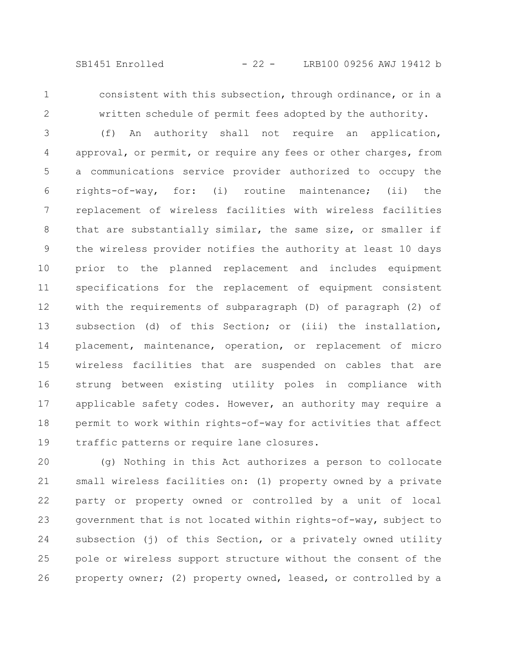1 2 consistent with this subsection, through ordinance, or in a written schedule of permit fees adopted by the authority.

(f) An authority shall not require an application, approval, or permit, or require any fees or other charges, from a communications service provider authorized to occupy the rights-of-way, for: (i) routine maintenance; (ii) the replacement of wireless facilities with wireless facilities that are substantially similar, the same size, or smaller if the wireless provider notifies the authority at least 10 days prior to the planned replacement and includes equipment specifications for the replacement of equipment consistent with the requirements of subparagraph (D) of paragraph (2) of subsection (d) of this Section; or (iii) the installation, placement, maintenance, operation, or replacement of micro wireless facilities that are suspended on cables that are strung between existing utility poles in compliance with applicable safety codes. However, an authority may require a permit to work within rights-of-way for activities that affect traffic patterns or require lane closures. 3 4 5 6 7 8 9 10 11 12 13 14 15 16 17 18 19

(g) Nothing in this Act authorizes a person to collocate small wireless facilities on: (1) property owned by a private party or property owned or controlled by a unit of local government that is not located within rights-of-way, subject to subsection (j) of this Section, or a privately owned utility pole or wireless support structure without the consent of the property owner; (2) property owned, leased, or controlled by a 20 21 22 23 24 25 26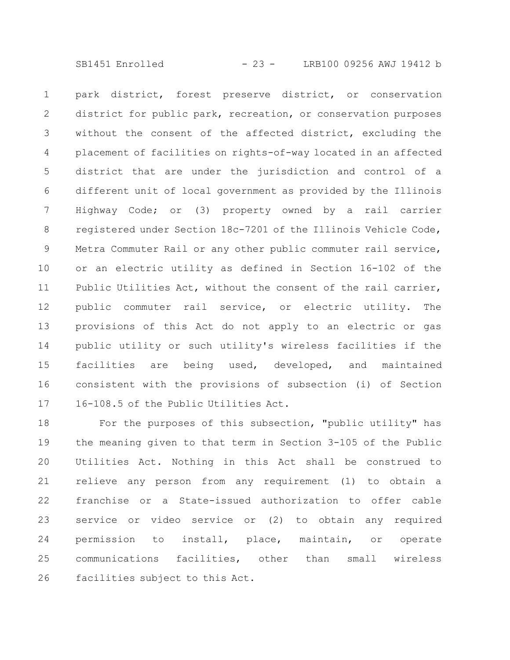SB1451 Enrolled - 23 - LRB100 09256 AWJ 19412 b

park district, forest preserve district, or conservation district for public park, recreation, or conservation purposes without the consent of the affected district, excluding the placement of facilities on rights-of-way located in an affected district that are under the jurisdiction and control of a different unit of local government as provided by the Illinois Highway Code; or (3) property owned by a rail carrier registered under Section 18c-7201 of the Illinois Vehicle Code, Metra Commuter Rail or any other public commuter rail service, or an electric utility as defined in Section 16-102 of the Public Utilities Act, without the consent of the rail carrier, public commuter rail service, or electric utility. The provisions of this Act do not apply to an electric or gas public utility or such utility's wireless facilities if the facilities are being used, developed, and maintained consistent with the provisions of subsection (i) of Section 16-108.5 of the Public Utilities Act. 1 2 3 4 5 6 7 8 9 10 11 12 13 14 15 16 17

For the purposes of this subsection, "public utility" has the meaning given to that term in Section 3-105 of the Public Utilities Act. Nothing in this Act shall be construed to relieve any person from any requirement (1) to obtain a franchise or a State-issued authorization to offer cable service or video service or (2) to obtain any required permission to install, place, maintain, or operate communications facilities, other than small wireless facilities subject to this Act. 18 19 20 21 22 23 24 25 26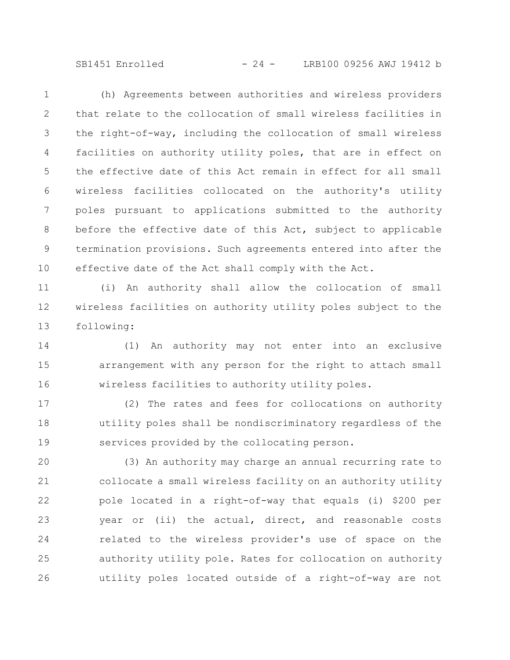SB1451 Enrolled - 24 - LRB100 09256 AWJ 19412 b

(h) Agreements between authorities and wireless providers that relate to the collocation of small wireless facilities in the right-of-way, including the collocation of small wireless facilities on authority utility poles, that are in effect on the effective date of this Act remain in effect for all small wireless facilities collocated on the authority's utility poles pursuant to applications submitted to the authority before the effective date of this Act, subject to applicable termination provisions. Such agreements entered into after the effective date of the Act shall comply with the Act. 1 2 3 4 5 6 7 8 9 10

(i) An authority shall allow the collocation of small wireless facilities on authority utility poles subject to the following: 11 12 13

(1) An authority may not enter into an exclusive arrangement with any person for the right to attach small wireless facilities to authority utility poles. 14 15 16

(2) The rates and fees for collocations on authority utility poles shall be nondiscriminatory regardless of the services provided by the collocating person. 17 18 19

(3) An authority may charge an annual recurring rate to collocate a small wireless facility on an authority utility pole located in a right-of-way that equals (i) \$200 per year or (ii) the actual, direct, and reasonable costs related to the wireless provider's use of space on the authority utility pole. Rates for collocation on authority utility poles located outside of a right-of-way are not 20 21 22 23 24 25 26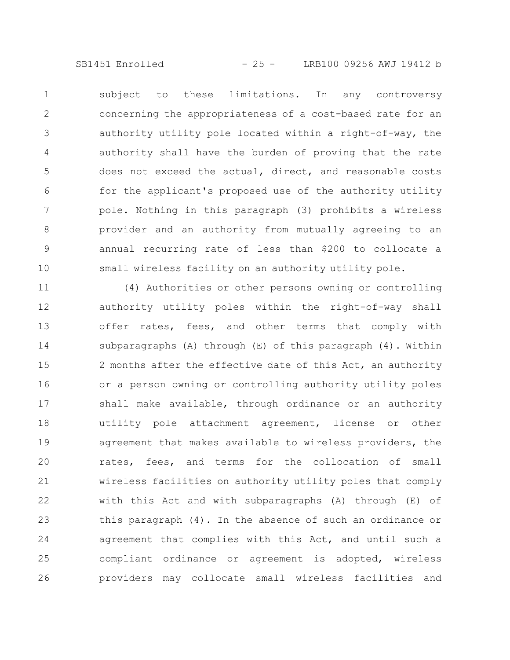SB1451 Enrolled - 25 - LRB100 09256 AWJ 19412 b

subject to these limitations. In any controversy concerning the appropriateness of a cost-based rate for an authority utility pole located within a right-of-way, the authority shall have the burden of proving that the rate does not exceed the actual, direct, and reasonable costs for the applicant's proposed use of the authority utility pole. Nothing in this paragraph (3) prohibits a wireless provider and an authority from mutually agreeing to an annual recurring rate of less than \$200 to collocate a small wireless facility on an authority utility pole. 1 2 3 4 5 6 7 8 9 10

(4) Authorities or other persons owning or controlling authority utility poles within the right-of-way shall offer rates, fees, and other terms that comply with subparagraphs (A) through (E) of this paragraph (4). Within 2 months after the effective date of this Act, an authority or a person owning or controlling authority utility poles shall make available, through ordinance or an authority utility pole attachment agreement, license or other agreement that makes available to wireless providers, the rates, fees, and terms for the collocation of small wireless facilities on authority utility poles that comply with this Act and with subparagraphs (A) through (E) of this paragraph (4). In the absence of such an ordinance or agreement that complies with this Act, and until such a compliant ordinance or agreement is adopted, wireless providers may collocate small wireless facilities and 11 12 13 14 15 16 17 18 19 20 21 22 23 24 25 26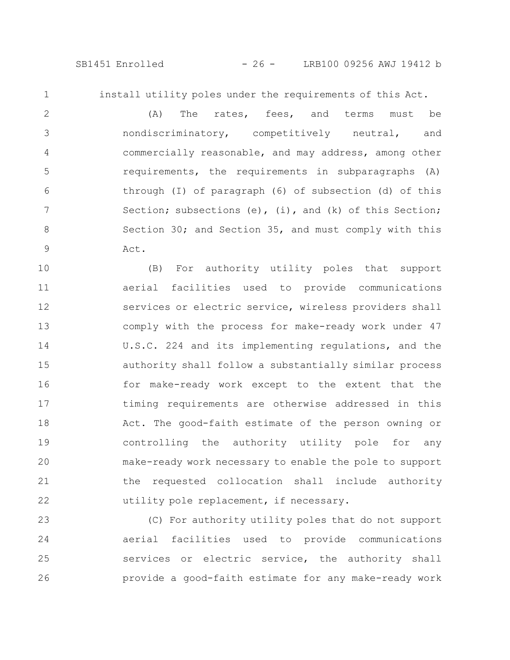1

install utility poles under the requirements of this Act.

(A) The rates, fees, and terms must be nondiscriminatory, competitively neutral, and commercially reasonable, and may address, among other requirements, the requirements in subparagraphs (A) through (I) of paragraph (6) of subsection (d) of this Section; subsections  $(e)$ ,  $(i)$ , and  $(k)$  of this Section; Section 30; and Section 35, and must comply with this Act. 2 3 4 5 6 7 8 9

(B) For authority utility poles that support aerial facilities used to provide communications services or electric service, wireless providers shall comply with the process for make-ready work under 47 U.S.C. 224 and its implementing regulations, and the authority shall follow a substantially similar process for make-ready work except to the extent that the timing requirements are otherwise addressed in this Act. The good-faith estimate of the person owning or controlling the authority utility pole for any make-ready work necessary to enable the pole to support the requested collocation shall include authority utility pole replacement, if necessary. 10 11 12 13 14 15 16 17 18 19 20 21 22

(C) For authority utility poles that do not support aerial facilities used to provide communications services or electric service, the authority shall provide a good-faith estimate for any make-ready work 23 24 25 26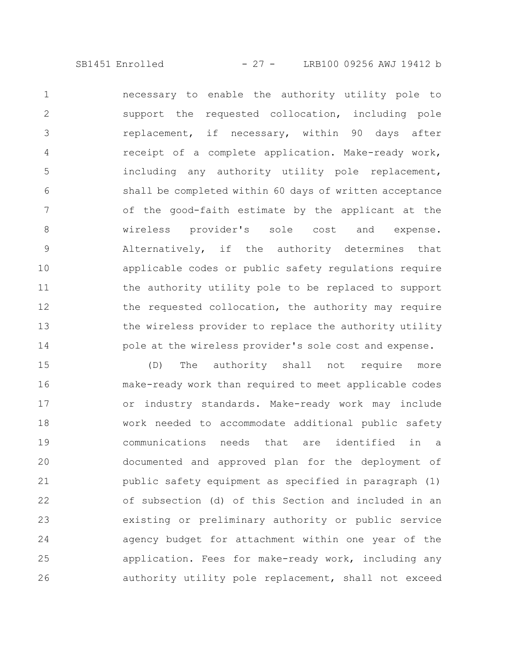necessary to enable the authority utility pole to support the requested collocation, including pole replacement, if necessary, within 90 days after receipt of a complete application. Make-ready work, including any authority utility pole replacement, shall be completed within 60 days of written acceptance of the good-faith estimate by the applicant at the wireless provider's sole cost and expense. Alternatively, if the authority determines that applicable codes or public safety regulations require the authority utility pole to be replaced to support the requested collocation, the authority may require the wireless provider to replace the authority utility pole at the wireless provider's sole cost and expense. 1 2 3 4 5 6 7 8 9 10 11 12 13 14

(D) The authority shall not require more make-ready work than required to meet applicable codes or industry standards. Make-ready work may include work needed to accommodate additional public safety communications needs that are identified in a documented and approved plan for the deployment of public safety equipment as specified in paragraph (1) of subsection (d) of this Section and included in an existing or preliminary authority or public service agency budget for attachment within one year of the application. Fees for make-ready work, including any authority utility pole replacement, shall not exceed 15 16 17 18 19 20 21 22 23 24 25 26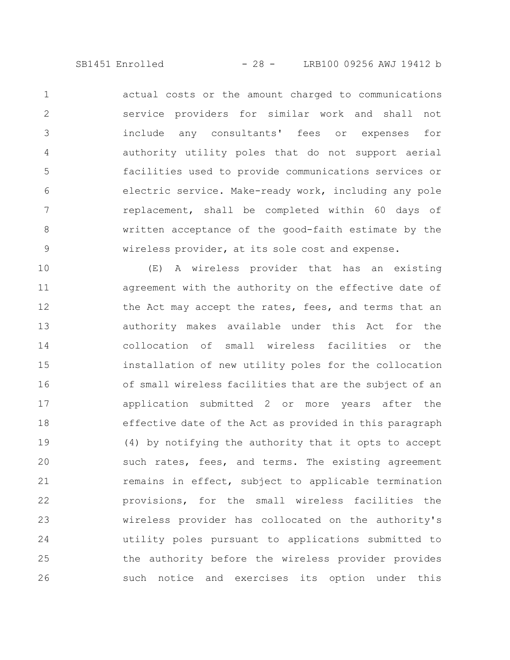actual costs or the amount charged to communications service providers for similar work and shall not include any consultants' fees or expenses for authority utility poles that do not support aerial facilities used to provide communications services or electric service. Make-ready work, including any pole replacement, shall be completed within 60 days of written acceptance of the good-faith estimate by the wireless provider, at its sole cost and expense. 1 2 3 4 5 6 7 8 9

(E) A wireless provider that has an existing agreement with the authority on the effective date of the Act may accept the rates, fees, and terms that an authority makes available under this Act for the collocation of small wireless facilities or the installation of new utility poles for the collocation of small wireless facilities that are the subject of an application submitted 2 or more years after the effective date of the Act as provided in this paragraph (4) by notifying the authority that it opts to accept such rates, fees, and terms. The existing agreement remains in effect, subject to applicable termination provisions, for the small wireless facilities the wireless provider has collocated on the authority's utility poles pursuant to applications submitted to the authority before the wireless provider provides such notice and exercises its option under this 10 11 12 13 14 15 16 17 18 19 20 21 22 23 24 25 26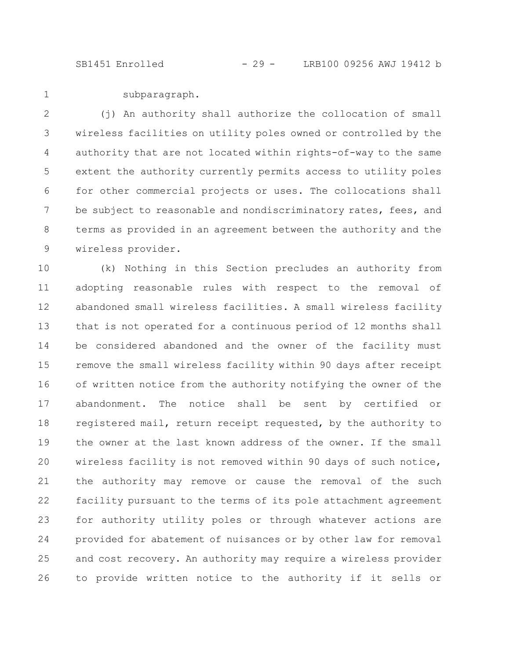SB1451 Enrolled - 29 - LRB100 09256 AWJ 19412 b

1

subparagraph.

(j) An authority shall authorize the collocation of small wireless facilities on utility poles owned or controlled by the authority that are not located within rights-of-way to the same extent the authority currently permits access to utility poles for other commercial projects or uses. The collocations shall be subject to reasonable and nondiscriminatory rates, fees, and terms as provided in an agreement between the authority and the wireless provider. 2 3 4 5 6 7 8 9

(k) Nothing in this Section precludes an authority from adopting reasonable rules with respect to the removal of abandoned small wireless facilities. A small wireless facility that is not operated for a continuous period of 12 months shall be considered abandoned and the owner of the facility must remove the small wireless facility within 90 days after receipt of written notice from the authority notifying the owner of the abandonment. The notice shall be sent by certified or registered mail, return receipt requested, by the authority to the owner at the last known address of the owner. If the small wireless facility is not removed within 90 days of such notice, the authority may remove or cause the removal of the such facility pursuant to the terms of its pole attachment agreement for authority utility poles or through whatever actions are provided for abatement of nuisances or by other law for removal and cost recovery. An authority may require a wireless provider to provide written notice to the authority if it sells or 10 11 12 13 14 15 16 17 18 19 20 21 22 23 24 25 26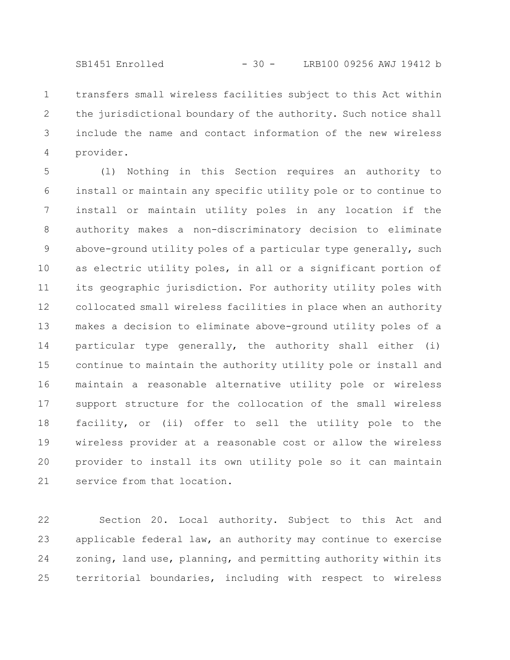SB1451 Enrolled - 30 - LRB100 09256 AWJ 19412 b

transfers small wireless facilities subject to this Act within the jurisdictional boundary of the authority. Such notice shall include the name and contact information of the new wireless provider. 1 2 3 4

(l) Nothing in this Section requires an authority to install or maintain any specific utility pole or to continue to install or maintain utility poles in any location if the authority makes a non-discriminatory decision to eliminate above-ground utility poles of a particular type generally, such as electric utility poles, in all or a significant portion of its geographic jurisdiction. For authority utility poles with collocated small wireless facilities in place when an authority makes a decision to eliminate above-ground utility poles of a particular type generally, the authority shall either (i) continue to maintain the authority utility pole or install and maintain a reasonable alternative utility pole or wireless support structure for the collocation of the small wireless facility, or (ii) offer to sell the utility pole to the wireless provider at a reasonable cost or allow the wireless provider to install its own utility pole so it can maintain service from that location. 5 6 7 8 9 10 11 12 13 14 15 16 17 18 19 20 21

Section 20. Local authority. Subject to this Act and applicable federal law, an authority may continue to exercise zoning, land use, planning, and permitting authority within its territorial boundaries, including with respect to wireless 22 23 24 25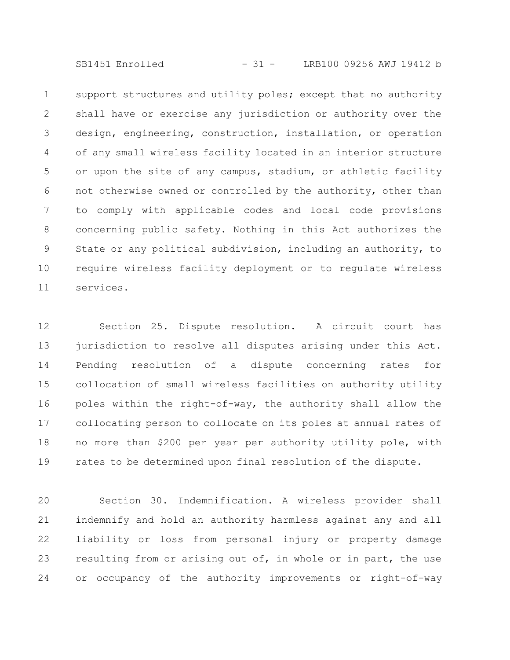SB1451 Enrolled - 31 - LRB100 09256 AWJ 19412 b

support structures and utility poles; except that no authority shall have or exercise any jurisdiction or authority over the design, engineering, construction, installation, or operation of any small wireless facility located in an interior structure or upon the site of any campus, stadium, or athletic facility not otherwise owned or controlled by the authority, other than to comply with applicable codes and local code provisions concerning public safety. Nothing in this Act authorizes the State or any political subdivision, including an authority, to require wireless facility deployment or to regulate wireless services. 1 2 3 4 5 6 7 8 9 10 11

Section 25. Dispute resolution. A circuit court has jurisdiction to resolve all disputes arising under this Act. Pending resolution of a dispute concerning rates for collocation of small wireless facilities on authority utility poles within the right-of-way, the authority shall allow the collocating person to collocate on its poles at annual rates of no more than \$200 per year per authority utility pole, with rates to be determined upon final resolution of the dispute. 12 13 14 15 16 17 18 19

Section 30. Indemnification. A wireless provider shall indemnify and hold an authority harmless against any and all liability or loss from personal injury or property damage resulting from or arising out of, in whole or in part, the use or occupancy of the authority improvements or right-of-way 20 21 22 23 24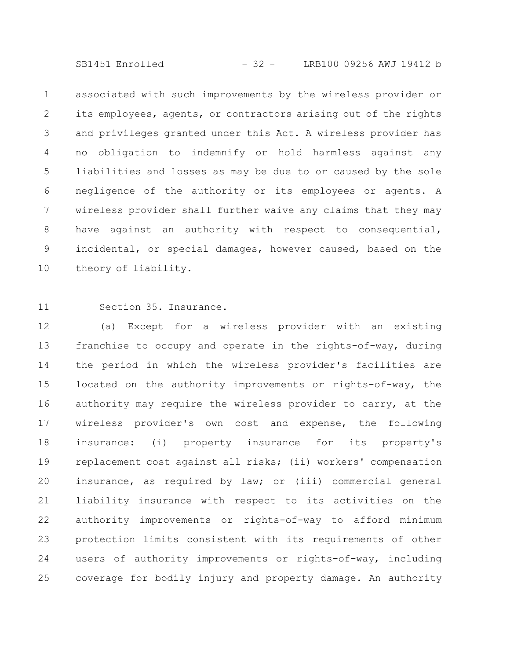SB1451 Enrolled - 32 - LRB100 09256 AWJ 19412 b

associated with such improvements by the wireless provider or its employees, agents, or contractors arising out of the rights and privileges granted under this Act. A wireless provider has no obligation to indemnify or hold harmless against any liabilities and losses as may be due to or caused by the sole negligence of the authority or its employees or agents. A wireless provider shall further waive any claims that they may have against an authority with respect to consequential, incidental, or special damages, however caused, based on the theory of liability. 1 2 3 4 5 6 7 8 9 10

11

Section 35. Insurance.

(a) Except for a wireless provider with an existing franchise to occupy and operate in the rights-of-way, during the period in which the wireless provider's facilities are located on the authority improvements or rights-of-way, the authority may require the wireless provider to carry, at the wireless provider's own cost and expense, the following insurance: (i) property insurance for its property's replacement cost against all risks; (ii) workers' compensation insurance, as required by law; or (iii) commercial general liability insurance with respect to its activities on the authority improvements or rights-of-way to afford minimum protection limits consistent with its requirements of other users of authority improvements or rights-of-way, including coverage for bodily injury and property damage. An authority 12 13 14 15 16 17 18 19 20 21 22 23 24 25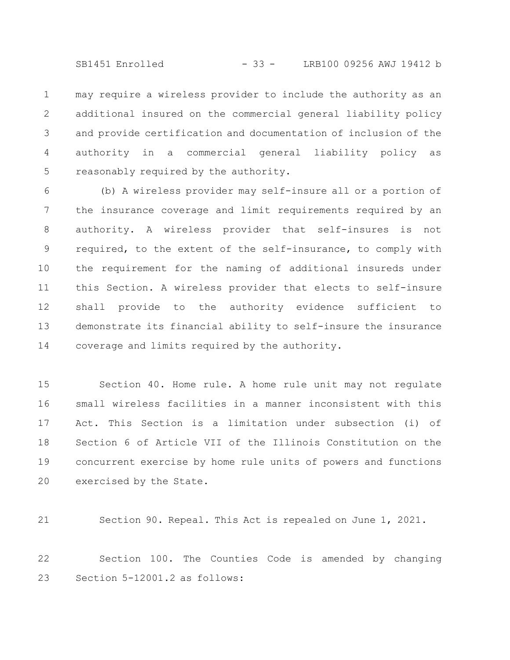SB1451 Enrolled - 33 - LRB100 09256 AWJ 19412 b

may require a wireless provider to include the authority as an additional insured on the commercial general liability policy and provide certification and documentation of inclusion of the authority in a commercial general liability policy as reasonably required by the authority. 1 2 3 4 5

(b) A wireless provider may self-insure all or a portion of the insurance coverage and limit requirements required by an authority. A wireless provider that self-insures is not required, to the extent of the self-insurance, to comply with the requirement for the naming of additional insureds under this Section. A wireless provider that elects to self-insure shall provide to the authority evidence sufficient to demonstrate its financial ability to self-insure the insurance coverage and limits required by the authority. 6 7 8 9 10 11 12 13 14

Section 40. Home rule. A home rule unit may not regulate small wireless facilities in a manner inconsistent with this Act. This Section is a limitation under subsection (i) of Section 6 of Article VII of the Illinois Constitution on the concurrent exercise by home rule units of powers and functions exercised by the State. 15 16 17 18 19 20

21

Section 90. Repeal. This Act is repealed on June 1, 2021.

Section 100. The Counties Code is amended by changing Section 5-12001.2 as follows: 22 23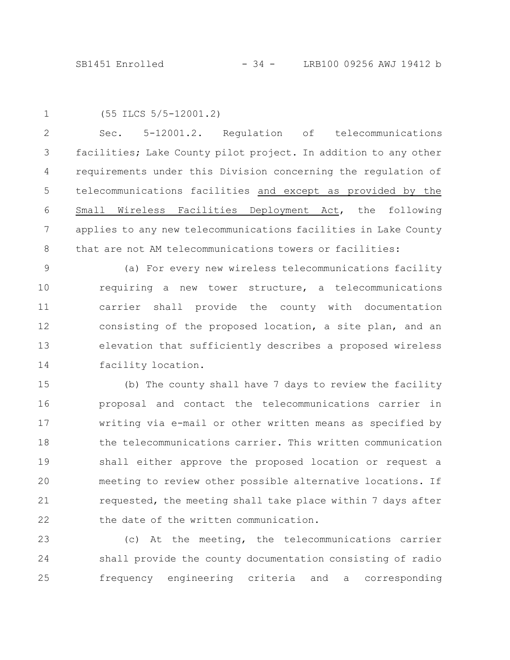1

(55 ILCS 5/5-12001.2)

Sec. 5-12001.2. Regulation of telecommunications facilities; Lake County pilot project. In addition to any other requirements under this Division concerning the regulation of telecommunications facilities and except as provided by the Small Wireless Facilities Deployment Act, the following applies to any new telecommunications facilities in Lake County that are not AM telecommunications towers or facilities: 2 3 4 5 6 7 8

(a) For every new wireless telecommunications facility requiring a new tower structure, a telecommunications carrier shall provide the county with documentation consisting of the proposed location, a site plan, and an elevation that sufficiently describes a proposed wireless facility location. 9 10 11 12 13 14

(b) The county shall have 7 days to review the facility proposal and contact the telecommunications carrier in writing via e-mail or other written means as specified by the telecommunications carrier. This written communication shall either approve the proposed location or request a meeting to review other possible alternative locations. If requested, the meeting shall take place within 7 days after the date of the written communication. 15 16 17 18 19 20 21 22

(c) At the meeting, the telecommunications carrier shall provide the county documentation consisting of radio frequency engineering criteria and a corresponding 23 24 25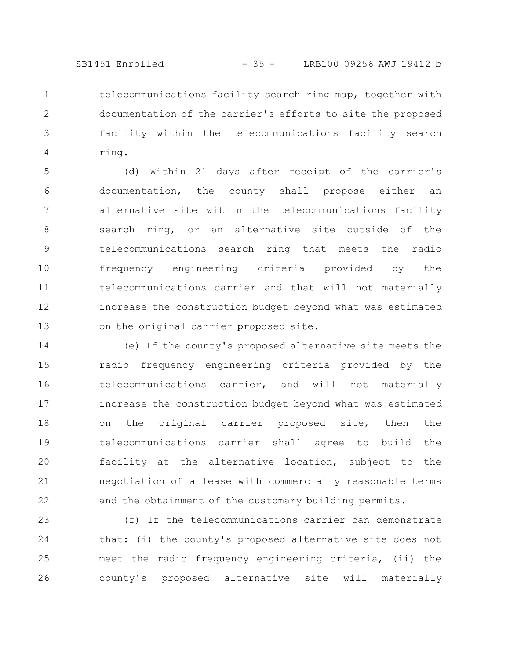SB1451 Enrolled - 35 - LRB100 09256 AWJ 19412 b

telecommunications facility search ring map, together with documentation of the carrier's efforts to site the proposed facility within the telecommunications facility search ring. 1 2 3 4

(d) Within 21 days after receipt of the carrier's documentation, the county shall propose either an alternative site within the telecommunications facility search ring, or an alternative site outside of the telecommunications search ring that meets the radio frequency engineering criteria provided by the telecommunications carrier and that will not materially increase the construction budget beyond what was estimated on the original carrier proposed site. 5 6 7 8 9 10 11 12 13

(e) If the county's proposed alternative site meets the radio frequency engineering criteria provided by the telecommunications carrier, and will not materially increase the construction budget beyond what was estimated on the original carrier proposed site, then the telecommunications carrier shall agree to build the facility at the alternative location, subject to the negotiation of a lease with commercially reasonable terms and the obtainment of the customary building permits. 14 15 16 17 18 19 20 21 22

(f) If the telecommunications carrier can demonstrate that: (i) the county's proposed alternative site does not meet the radio frequency engineering criteria, (ii) the county's proposed alternative site will materially 23 24 25 26